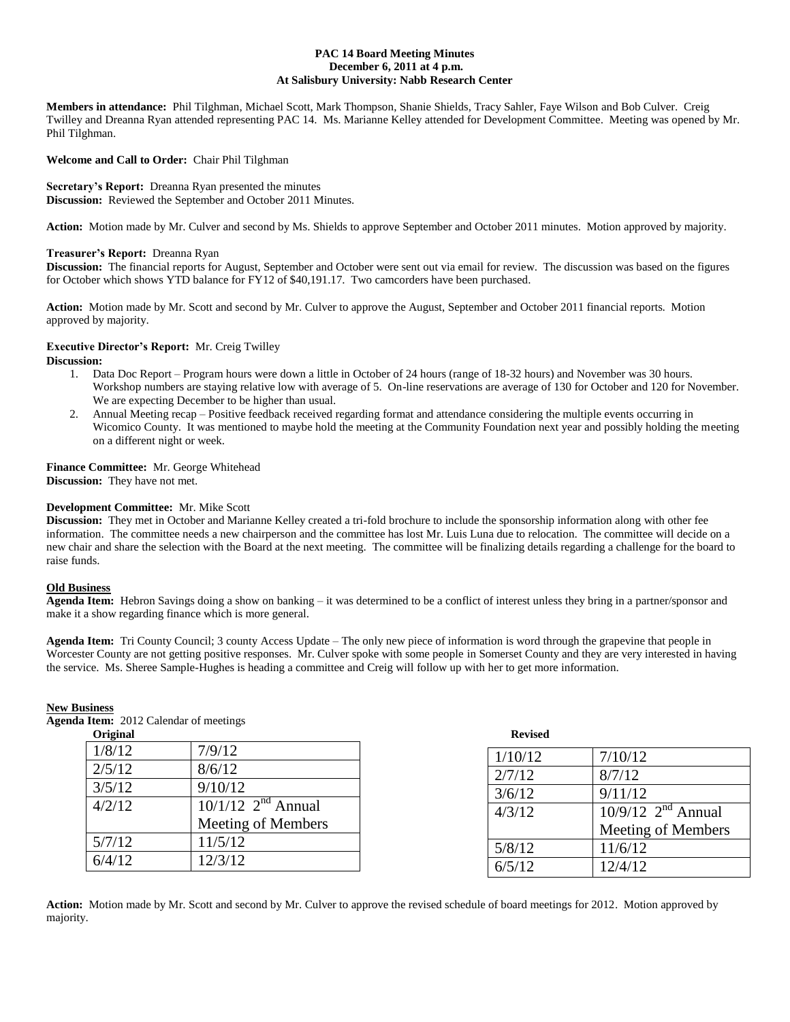## **PAC 14 Board Meeting Minutes December 6, 2011 at 4 p.m. At Salisbury University: Nabb Research Center**

**Members in attendance:** Phil Tilghman, Michael Scott, Mark Thompson, Shanie Shields, Tracy Sahler, Faye Wilson and Bob Culver. Creig Twilley and Dreanna Ryan attended representing PAC 14. Ms. Marianne Kelley attended for Development Committee. Meeting was opened by Mr. Phil Tilghman.

## **Welcome and Call to Order:** Chair Phil Tilghman

**Secretary's Report:** Dreanna Ryan presented the minutes **Discussion:** Reviewed the September and October 2011 Minutes.

**Action:** Motion made by Mr. Culver and second by Ms. Shields to approve September and October 2011 minutes. Motion approved by majority.

## **Treasurer's Report:** Dreanna Ryan

**Discussion:** The financial reports for August, September and October were sent out via email for review. The discussion was based on the figures for October which shows YTD balance for FY12 of \$40,191.17. Two camcorders have been purchased.

**Action:** Motion made by Mr. Scott and second by Mr. Culver to approve the August, September and October 2011 financial reports. Motion approved by majority.

## **Executive Director's Report:** Mr. Creig Twilley

**Discussion:**

- 1. Data Doc Report Program hours were down a little in October of 24 hours (range of 18-32 hours) and November was 30 hours. Workshop numbers are staying relative low with average of 5. On-line reservations are average of 130 for October and 120 for November. We are expecting December to be higher than usual.
- 2. Annual Meeting recap Positive feedback received regarding format and attendance considering the multiple events occurring in Wicomico County. It was mentioned to maybe hold the meeting at the Community Foundation next year and possibly holding the meeting on a different night or week.

## **Finance Committee:** Mr. George Whitehead

**Discussion:** They have not met.

## **Development Committee:** Mr. Mike Scott

**Discussion:** They met in October and Marianne Kelley created a tri-fold brochure to include the sponsorship information along with other fee information. The committee needs a new chairperson and the committee has lost Mr. Luis Luna due to relocation. The committee will decide on a new chair and share the selection with the Board at the next meeting. The committee will be finalizing details regarding a challenge for the board to raise funds.

## **Old Business**

**Agenda Item:** Hebron Savings doing a show on banking – it was determined to be a conflict of interest unless they bring in a partner/sponsor and make it a show regarding finance which is more general.

**Agenda Item:** Tri County Council; 3 county Access Update – The only new piece of information is word through the grapevine that people in Worcester County are not getting positive responses. Mr. Culver spoke with some people in Somerset County and they are very interested in having the service. Ms. Sheree Sample-Hughes is heading a committee and Creig will follow up with her to get more information.

### **New Business**

**Agenda Item:** 2012 Calendar of meetings

| Original |                                  | <b>Revised</b> |
|----------|----------------------------------|----------------|
| 1/8/12   | 7/9/12                           | 1/10/12        |
| 2/5/12   | 8/6/12                           | 2/7/12         |
| 3/5/12   | 9/10/12                          | 3/6/12         |
| 4/2/12   | $10/1/12$ 2 <sup>nd</sup> Annual | 4/3/12         |
|          | Meeting of Members               |                |
| 5/7/12   | 11/5/12                          | 5/8/12         |
| 6/4/12   | 12/3/12                          | 6/5/12         |

| <b>Revised</b> |                                             |
|----------------|---------------------------------------------|
| 1/10/12        | 7/10/12                                     |
| 2/7/12         | 8/7/12                                      |
| 3/6/12         | 9/11/12                                     |
| 4/3/12         | $\overline{10/9/12}$ 2 <sup>nd</sup> Annual |
|                | Meeting of Members                          |
| 5/8/12         | 11/6/12                                     |
| 6/5/12         | 12/4/12                                     |

**Action:** Motion made by Mr. Scott and second by Mr. Culver to approve the revised schedule of board meetings for 2012. Motion approved by majority.